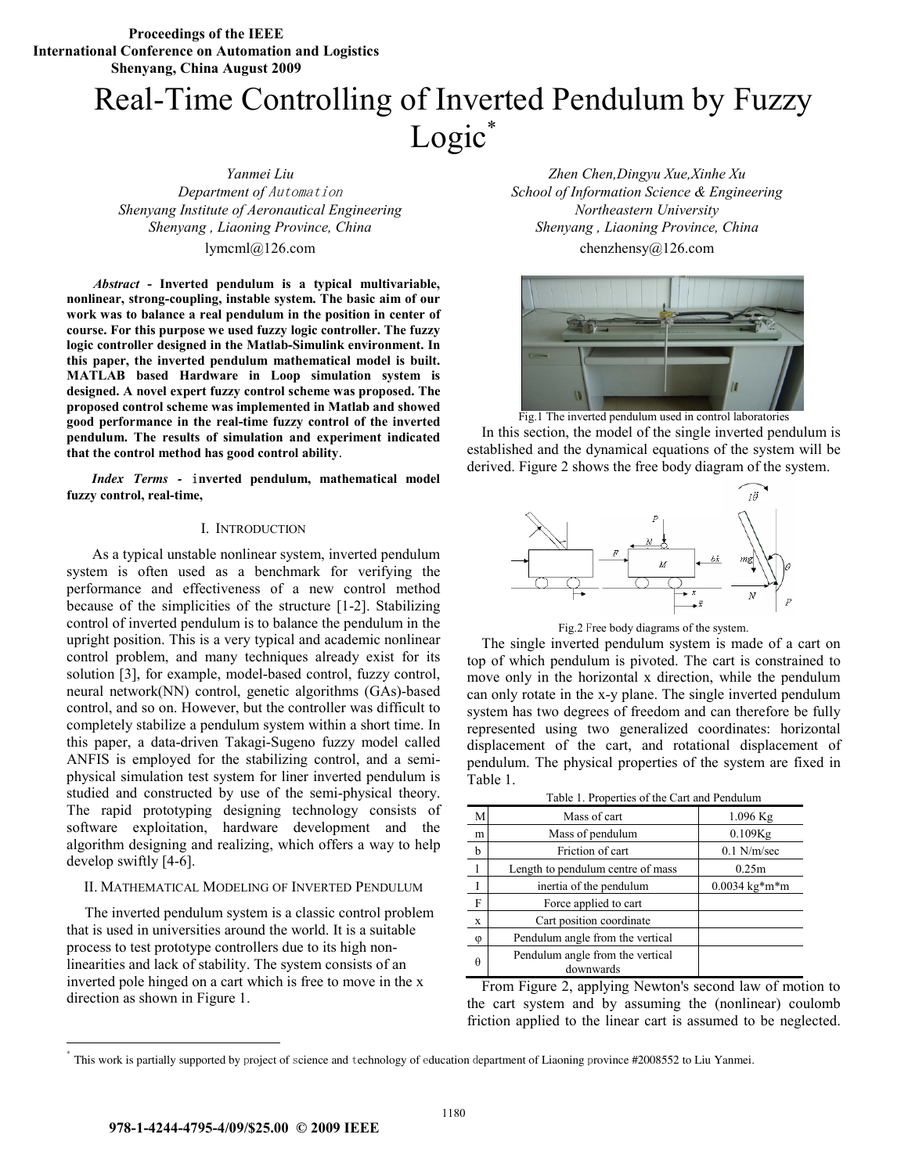# **Proceedings of the IEEE International Conference on Automation and Logistics Shenyang, China August 2009**

# Real-Time Controlling of Inverted Pendulum by Fuzzy Logic<sup>\*</sup>

*Shenyang Institute of Aeronautical Engineering* Northeastern University **Northeastern** University *Shenyang , Liaoning Province, China Shenyang , Liaoning Province, China* 

*Abstract* **- Inverted pendulum is a typical multivariable, nonlinear, strong-coupling, instable system. The basic aim of our work was to balance a real pendulum in the position in center of course. For this purpose we used fuzzy logic controller. The fuzzy logic controller designed in the Matlab-Simulink environment. In this paper, the inverted pendulum mathematical model is built. MATLAB based Hardware in Loop simulation system is designed. A novel expert fuzzy control scheme was proposed. The proposed control scheme was implemented in Matlab and showed good performance in the real-time fuzzy control of the inverted pendulum. The results of simulation and experiment indicated that the control method has good control ability**.

*Index Terms -* i**nverted pendulum, mathematical model fuzzy control, real-time,**

# I. INTRODUCTION

 As a typical unstable nonlinear system, inverted pendulum system is often used as a benchmark for verifying the performance and effectiveness of a new control method because of the simplicities of the structure [1-2]. Stabilizing control of inverted pendulum is to balance the pendulum in the upright position. This is a very typical and academic nonlinear control problem, and many techniques already exist for its solution [3], for example, model-based control, fuzzy control, neural network(NN) control, genetic algorithms (GAs)-based control, and so on. However, but the controller was difficult to completely stabilize a pendulum system within a short time. In this paper, a data-driven Takagi-Sugeno fuzzy model called ANFIS is employed for the stabilizing control, and a semiphysical simulation test system for liner inverted pendulum is studied and constructed by use of the semi-physical theory. The rapid prototyping designing technology consists of software exploitation, hardware development and the algorithm designing and realizing, which offers a way to help develop swiftly [4-6].

### II. MATHEMATICAL MODELING OF INVERTED PENDULUM

The inverted pendulum system is a classic control problem that is used in universities around the world. It is a suitable process to test prototype controllers due to its high nonlinearities and lack of stability. The system consists of an inverted pole hinged on a cart which is free to move in the x direction as shown in Figure 1.

*Yanmei Liu Zhen Chen,Dingyu Xue,Xinhe Xu Department of* Automation *School of Information Science & Engineering*  lymcml@126.com chenzhensy@126.com



Fig.1 The inverted pendulum used in control laboratories In this section, the model of the single inverted pendulum is established and the dynamical equations of the system will be derived. Figure 2 shows the free body diagram of the system.



Fig.2 Free body diagrams of the system.

The single inverted pendulum system is made of a cart on top of which pendulum is pivoted. The cart is constrained to move only in the horizontal x direction, while the pendulum can only rotate in the x-y plane. The single inverted pendulum system has two degrees of freedom and can therefore be fully represented using two generalized coordinates: horizontal displacement of the cart, and rotational displacement of pendulum. The physical properties of the system are fixed in Table 1.

| Table 1. Properties of the Cart and Pendulum |                                               |                                           |  |  |  |  |
|----------------------------------------------|-----------------------------------------------|-------------------------------------------|--|--|--|--|
| M                                            | Mass of cart                                  | $1.096$ Kg                                |  |  |  |  |
| m                                            | Mass of pendulum                              | $0.109$ Kg                                |  |  |  |  |
| b                                            | Friction of cart                              | $0.1$ N/m/sec                             |  |  |  |  |
|                                              | Length to pendulum centre of mass             | 0.25m                                     |  |  |  |  |
|                                              | inertia of the pendulum                       | $0.0034 \text{ kg}^* \text{m}^* \text{m}$ |  |  |  |  |
| F                                            | Force applied to cart                         |                                           |  |  |  |  |
| X                                            | Cart position coordinate                      |                                           |  |  |  |  |
| φ                                            | Pendulum angle from the vertical              |                                           |  |  |  |  |
| θ                                            | Pendulum angle from the vertical<br>downwards |                                           |  |  |  |  |

From Figure 2, applying Newton's second law of motion to the cart system and by assuming the (nonlinear) coulomb friction applied to the linear cart is assumed to be neglected.

 $\overline{a}$ 

This work is partially supported by project of science and technology of education department of Liaoning province #2008552 to Liu Yanmei.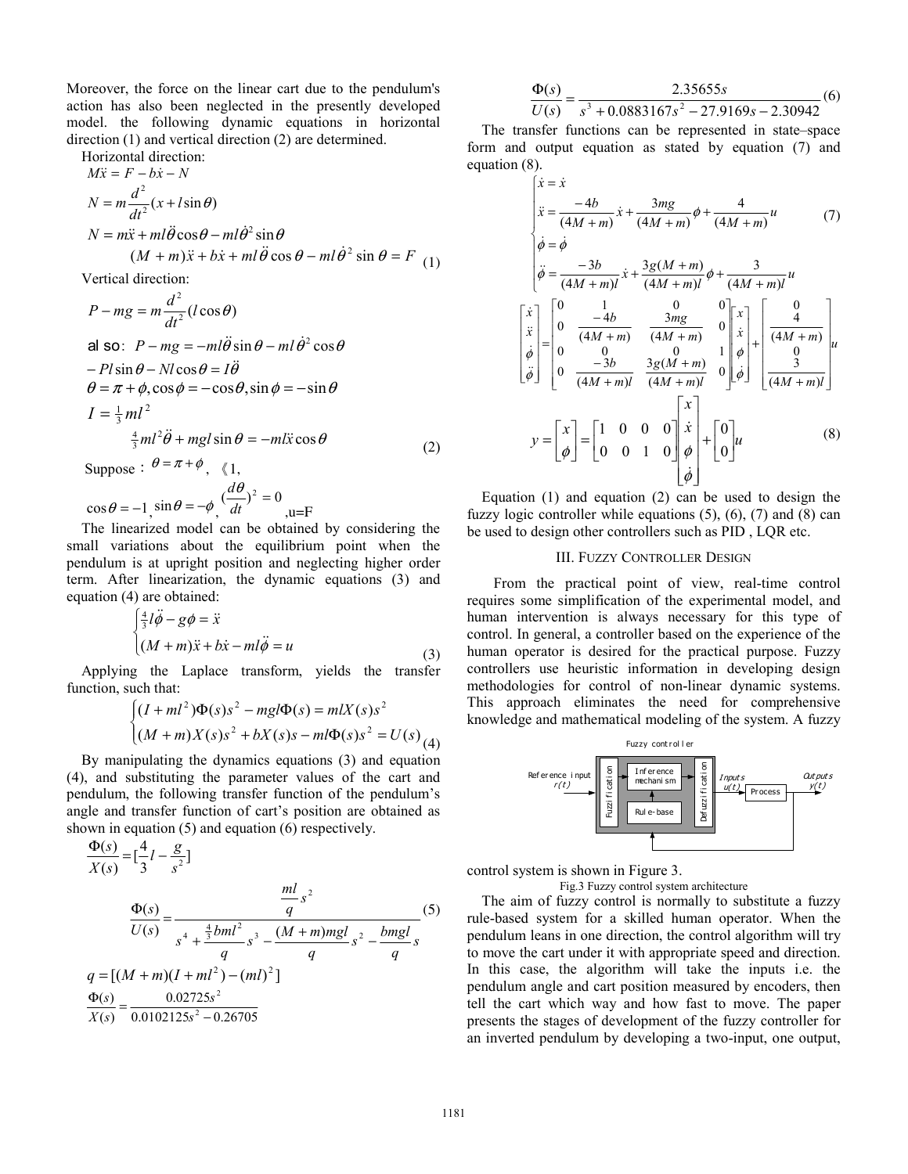Moreover, the force on the linear cart due to the pendulum's action has also been neglected in the presently developed model. the following dynamic equations in horizontal direction (1) and vertical direction (2) are determined.

Horizontal direction:

$$
M\ddot{x} = F - b\dot{x} - N
$$
  
\n
$$
N = m\frac{d^2}{dt^2}(x + l\sin\theta)
$$
  
\n
$$
N = m\ddot{x} + ml\ddot{\theta}\cos\theta - ml\dot{\theta}^2\sin\theta
$$
  
\n
$$
(M + m)\ddot{x} + b\dot{x} + ml\ddot{\theta}\cos\theta - ml\dot{\theta}^2\sin\theta = F
$$
 (1)

Vertical direction:

$$
P - mg = m \frac{d^2}{dt^2} (l \cos \theta)
$$
  
\n
$$
\text{al so: } P - mg = -ml \ddot{\theta} \sin \theta - ml \dot{\theta}^2 \cos \theta
$$
  
\n
$$
-Pl \sin \theta - NI \cos \theta = I \ddot{\theta}
$$
  
\n
$$
\theta = \pi + \phi, \cos \phi = -\cos \theta, \sin \phi = -\sin \theta
$$
  
\n
$$
I = \frac{1}{3}ml^2
$$
  
\n
$$
\frac{4}{3}ml^2 \ddot{\theta} + mgl \sin \theta = -ml \ddot{x} \cos \theta
$$
  
\n
$$
\text{Sumses: } \theta = \pi + \phi \quad (1)
$$

Suppose:  $\theta = \pi + \varphi$ ,  $\langle 1, \rangle$  $\cos\theta = -1$ ,  $\sin\theta = -\phi$ ,  $\left(\frac{d\theta}{dt}\right)^2 = 0$  $, u = F$ 

The linearized model can be obtained by considering the small variations about the equilibrium point when the pendulum is at upright position and neglecting higher order term. After linearization, the dynamic equations (3) and equation (4) are obtained:

$$
\begin{cases} \frac{4}{3}l\ddot{\phi} - g\phi = \ddot{x} \\ (M+m)\ddot{x} + b\dot{x} - ml\ddot{\phi} = u \end{cases}
$$
 (3)

Applying the Laplace transform, yields the transfer function, such that:

$$
\begin{cases} (I + ml^2)\Phi(s)s^2 - mgl\Phi(s) = mlX(s)s^2\\ (M + m)X(s)s^2 + bX(s)s - ml\Phi(s)s^2 = U(s)_{(4)} \end{cases}
$$

By manipulating the dynamics equations (3) and equation (4), and substituting the parameter values of the cart and pendulum, the following transfer function of the pendulum's angle and transfer function of cart's position are obtained as shown in equation (5) and equation (6) respectively.

$$
\frac{\Phi(s)}{X(s)} = \left[\frac{4}{3}l - \frac{g}{s^2}\right]
$$
\n
$$
\frac{\Phi(s)}{U(s)} = \frac{\frac{m l}{q}s^2}{s^4 + \frac{\frac{4}{3}bm l^2}{g}s^3 - \frac{(M + m)mgl}{q}s^2 - \frac{bmgl}{g}s}
$$
\n
$$
q = [(M + m)(I + ml^2) - (ml)^2]
$$
\n
$$
\frac{\Phi(s)}{X(s)} = \frac{0.02725s^2}{0.0102125s^2 - 0.26705}
$$
\n(5)

$$
\frac{\Phi(s)}{U(s)} = \frac{2.35655s}{s^3 + 0.0883167s^2 - 27.9169s - 2.30942} (6)
$$

The transfer functions can be represented in state–space form and output equation as stated by equation (7) and equation (8).

$$
\begin{cases}\n\dot{x} = \dot{x} \\
\ddot{x} = \frac{-4b}{(4M+m)}\dot{x} + \frac{3mg}{(4M+m)}\phi + \frac{4}{(4M+m)}u \\
\dot{\phi} = \dot{\phi}\n\end{cases}
$$
\n(7)

$$
\begin{bmatrix} \ddot{\phi} = \frac{-3b}{(4M+m)l} \dot{x} + \frac{3g(M+m)}{(4M+m)l} \phi + \frac{3}{(4M+m)l} u \\ \begin{bmatrix} \dot{x} \\ \ddot{x} \\ \dot{\phi} \end{bmatrix} = \begin{bmatrix} 0 & 1 & 0 & 0 \\ 0 & \frac{-4b}{(4M+m)} & \frac{3mg}{(4M+m)} & 0 \\ 0 & 0 & 0 & 1 \\ 0 & \frac{-3b}{(4M+m)l} & \frac{3g(M+m)}{(4M+m)l} & 0 \end{bmatrix} \begin{bmatrix} x \\ \dot{x} \\ \phi \end{bmatrix} + \begin{bmatrix} 0 \\ \frac{4}{(4M+m)} \\ 0 \\ \frac{3}{(4M+m)l} \end{bmatrix} u
$$

$$
y = \begin{bmatrix} x \\ \phi \end{bmatrix} = \begin{bmatrix} 1 & 0 & 0 & 0 \\ 0 & 0 & 1 & 0 \end{bmatrix} \begin{bmatrix} x \\ \dot{x} \\ \phi \end{bmatrix} + \begin{bmatrix} 0 \\ 0 \end{bmatrix} u
$$
(8)

Equation (1) and equation (2) can be used to design the fuzzy logic controller while equations  $(5)$ ,  $(6)$ ,  $(7)$  and  $(8)$  can be used to design other controllers such as PID , LQR etc.

## III. FUZZY CONTROLLER DESIGN

 From the practical point of view, real-time control requires some simplification of the experimental model, and human intervention is always necessary for this type of control. In general, a controller based on the experience of the human operator is desired for the practical purpose. Fuzzy controllers use heuristic information in developing design methodologies for control of non-linear dynamic systems. This approach eliminates the need for comprehensive knowledge and mathematical modeling of the system. A fuzzy



control system is shown in Figure 3.

Fig.3 Fuzzy control system architecture

The aim of fuzzy control is normally to substitute a fuzzy rule-based system for a skilled human operator. When the pendulum leans in one direction, the control algorithm will try to move the cart under it with appropriate speed and direction. In this case, the algorithm will take the inputs i.e. the pendulum angle and cart position measured by encoders, then tell the cart which way and how fast to move. The paper presents the stages of development of the fuzzy controller for an inverted pendulum by developing a two-input, one output,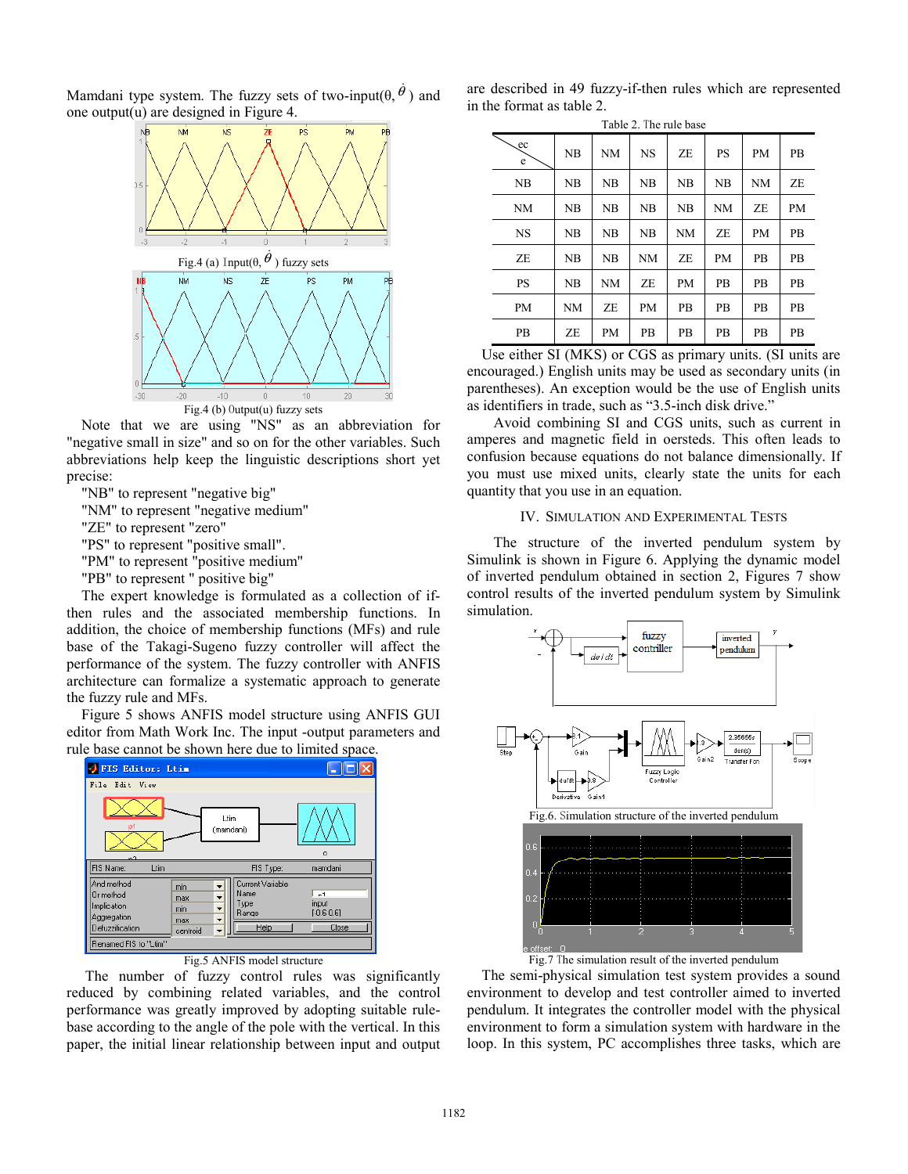Mamdani type system. The fuzzy sets of two-input $(\theta, \dot{\theta})$  and one output(u) are designed in Figure 4.



Note that we are using "NS" as an abbreviation for "negative small in size" and so on for the other variables. Such abbreviations help keep the linguistic descriptions short yet precise:

- "NB" to represent "negative big"
- "NM" to represent "negative medium"
- "ZE" to represent "zero"
- "PS" to represent "positive small".
- "PM" to represent "positive medium"
- "PB" to represent " positive big"

The expert knowledge is formulated as a collection of ifthen rules and the associated membership functions. In addition, the choice of membership functions (MFs) and rule base of the Takagi-Sugeno fuzzy controller will affect the performance of the system. The fuzzy controller with ANFIS architecture can formalize a systematic approach to generate the fuzzy rule and MFs.

Figure 5 shows ANFIS model structure using ANFIS GUI editor from Math Work Inc. The input -output parameters and rule base cannot be shown here due to limited space.



Fig.5 ANFIS model structure

The number of fuzzy control rules was significantly reduced by combining related variables, and the control performance was greatly improved by adopting suitable rulebase according to the angle of the pole with the vertical. In this paper, the initial linear relationship between input and output are described in 49 fuzzy-if-then rules which are represented in the format as table 2.

Table 2. The rule base

| $_{\rm cc}$<br>e | NB | <b>NM</b> | <b>NS</b> | ZE        | <b>PS</b> | <b>PM</b> | PB        |  |  |  |
|------------------|----|-----------|-----------|-----------|-----------|-----------|-----------|--|--|--|
| NB               | NB | NB        | NB        | NB        | NB        | <b>NM</b> | ZE        |  |  |  |
| <b>NM</b>        | NB | NB        | NB        | NB        | NM        | ZE        | <b>PM</b> |  |  |  |
| <b>NS</b>        | NB | NB        | NB        | <b>NM</b> | ZE        | <b>PM</b> | PB        |  |  |  |
| ZE               | NB | NB        | <b>NM</b> | ZE        | <b>PM</b> | PB        | PB        |  |  |  |
| <b>PS</b>        | NB | NM        | ZE        | <b>PM</b> | <b>PB</b> | PB        | PB        |  |  |  |
| <b>PM</b>        | NM | ZE        | PM        | PB        | PB        | PB        | PB        |  |  |  |
| PB               | ZE | <b>PM</b> | PB        | PB        | PВ        | PB        | PB        |  |  |  |

Use either SI (MKS) or CGS as primary units. (SI units are encouraged.) English units may be used as secondary units (in parentheses). An exception would be the use of English units as identifiers in trade, such as "3.5-inch disk drive."

 Avoid combining SI and CGS units, such as current in amperes and magnetic field in oersteds. This often leads to confusion because equations do not balance dimensionally. If you must use mixed units, clearly state the units for each quantity that you use in an equation.

#### IV. SIMULATION AND EXPERIMENTAL TESTS

 The structure of the inverted pendulum system by Simulink is shown in Figure 6. Applying the dynamic model of inverted pendulum obtained in section 2, Figures 7 show control results of the inverted pendulum system by Simulink simulation.



Fig.7 The simulation result of the inverted pendulum

The semi-physical simulation test system provides a sound environment to develop and test controller aimed to inverted pendulum. It integrates the controller model with the physical environment to form a simulation system with hardware in the loop. In this system, PC accomplishes three tasks, which are